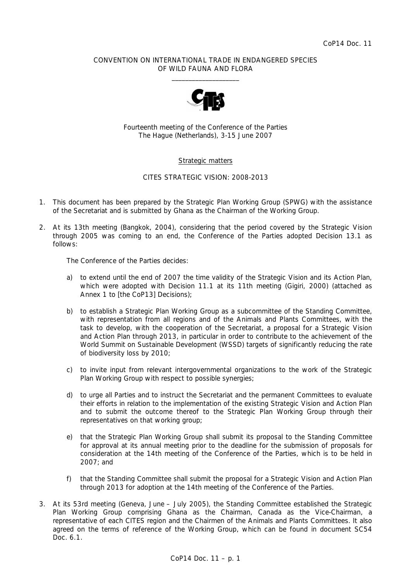### CONVENTION ON INTERNATIONAL TRADE IN ENDANGERED SPECIES OF WILD FAUNA AND FLORA  $\frac{1}{2}$  , and the set of the set of the set of the set of the set of the set of the set of the set of the set of the set of the set of the set of the set of the set of the set of the set of the set of the set of the set



Fourteenth meeting of the Conference of the Parties The Hague (Netherlands), 3-15 June 2007

## Strategic matters

## CITES STRATEGIC VISION: 2008-2013

- 1. This document has been prepared by the Strategic Plan Working Group (SPWG) with the assistance of the Secretariat and is submitted by Ghana as the Chairman of the Working Group.
- 2. At its 13th meeting (Bangkok, 2004), considering that the period covered by the *Strategic Vision through 2005* was coming to an end, the Conference of the Parties adopted Decision 13.1 as follows:

 *The Conference of the Parties decides:* 

- *a) to extend until the end of 2007 the time validity of the* Strategic Vision *and its Action Plan, which were adopted with Decision 11.1 at its 11th meeting (Gigiri, 2000) (attached as Annex 1 to* [the CoP13] *Decisions);*
- *b) to establish a Strategic Plan Working Group as a subcommittee of the Standing Committee, with representation from all regions and of the Animals and Plants Committees, with the task to develop, with the cooperation of the Secretariat, a proposal for a Strategic Vision and Action Plan through 2013, in particular in order to contribute to the achievement of the World Summit on Sustainable Development (WSSD) targets of significantly reducing the rate of biodiversity loss by 2010;*
- *c) to invite input from relevant intergovernmental organizations to the work of the Strategic Plan Working Group with respect to possible synergies;*
- *d) to urge all Parties and to instruct the Secretariat and the permanent Committees to evaluate their efforts in relation to the implementation of the existing Strategic Vision and Action Plan*  and to submit the outcome thereof to the Strategic Plan Working Group through their *representatives on that working group;*
- *e) that the Strategic Plan Working Group shall submit its proposal to the Standing Committee for approval at its annual meeting prior to the deadline for the submission of proposals for consideration at the 14th meeting of the Conference of the Parties, which is to be held in 2007; and*
- *f) that the Standing Committee shall submit the proposal for a Strategic Vision and Action Plan through 2013 for adoption at the 14th meeting of the Conference of the Parties.*
- 3. At its 53rd meeting (Geneva, June July 2005), the Standing Committee established the Strategic Plan Working Group comprising Ghana as the Chairman. Canada as the Vice-Chairman, a representative of each CITES region and the Chairmen of the Animals and Plants Committees. It also agreed on the terms of reference of the Working Group, which can be found in document SC54 Doc. 6.1.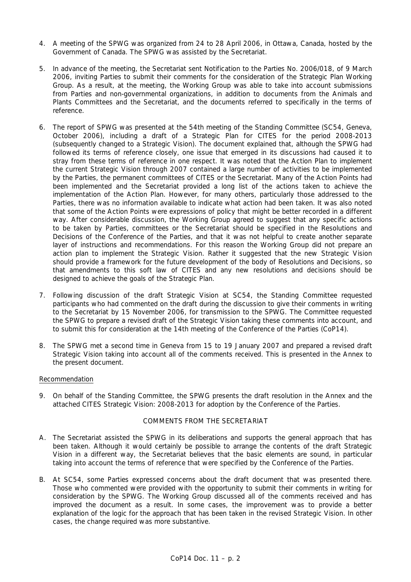- 4. A meeting of the SPWG was organized from 24 to 28 April 2006, in Ottawa, Canada, hosted by the Government of Canada. The SPWG was assisted by the Secretariat.
- 5. In advance of the meeting, the Secretariat sent Notification to the Parties No. 2006/018, of 9 March 2006, inviting Parties to submit their comments for the consideration of the Strategic Plan Working Group. As a result, at the meeting, the Working Group was able to take into account submissions from Parties and non-governmental organizations, in addition to documents from the Animals and Plants Committees and the Secretariat, and the documents referred to specifically in the terms of reference.
- 6. The report of SPWG was presented at the 54th meeting of the Standing Committee (SC54, Geneva, October 2006), including a draft of a Strategic Plan for CITES for the period 2008-2013 (subsequently changed to a Strategic Vision). The document explained that, although the SPWG had followed its terms of reference closely, one issue that emerged in its discussions had caused it to stray from these terms of reference in one respect. It was noted that the Action Plan to implement the current *Strategic Vision through 2007* contained a large number of activities to be implemented by the Parties, the permanent committees of CITES or the Secretariat. Many of the Action Points had been implemented and the Secretariat provided a long list of the actions taken to achieve the implementation of the Action Plan. However, for many others, particularly those addressed to the Parties, there was no information available to indicate what action had been taken. It was also noted that some of the Action Points were expressions of policy that might be better recorded in a different way. After considerable discussion, the Working Group agreed to suggest that any specific actions to be taken by Parties, committees or the Secretariat should be specified in the Resolutions and Decisions of the Conference of the Parties, and that it was not helpful to create another separate layer of instructions and recommendations. For this reason the Working Group did not prepare an action plan to implement the Strategic Vision. Rather it suggested that the new Strategic Vision should provide a framework for the future development of the body of Resolutions and Decisions, so that amendments to this soft law of CITES and any new resolutions and decisions should be designed to achieve the goals of the Strategic Plan.
- 7. Following discussion of the draft Strategic Vision at SC54, the Standing Committee requested participants who had commented on the draft during the discussion to give their comments in writing to the Secretariat by 15 November 2006, for transmission to the SPWG. The Committee requested the SPWG to prepare a revised draft of the Strategic Vision taking these comments into account, and to submit this for consideration at the 14th meeting of the Conference of the Parties (CoP14).
- 8. The SPWG met a second time in Geneva from 15 to 19 January 2007 and prepared a revised draft Strategic Vision taking into account all of the comments received. This is presented in the Annex to the present document.

## Recommendation

9. On behalf of the Standing Committee, the SPWG presents the draft resolution in the Annex and the attached *CITES Strategic Vision: 2008-2013* for adoption by the Conference of the Parties.

## COMMENTS FROM THE SECRETARIAT

- A. The Secretariat assisted the SPWG in its deliberations and supports the general approach that has been taken. Although it would certainly be possible to arrange the contents of the draft Strategic Vision in a different way, the Secretariat believes that the basic elements are sound, in particular taking into account the terms of reference that were specified by the Conference of the Parties.
- B. At SC54, some Parties expressed concerns about the draft document that was presented there. Those who commented were provided with the opportunity to submit their comments in writing for consideration by the SPWG. The Working Group discussed all of the comments received and has improved the document as a result. In some cases, the improvement was to provide a better explanation of the logic for the approach that has been taken in the revised Strategic Vision. In other cases, the change required was more substantive.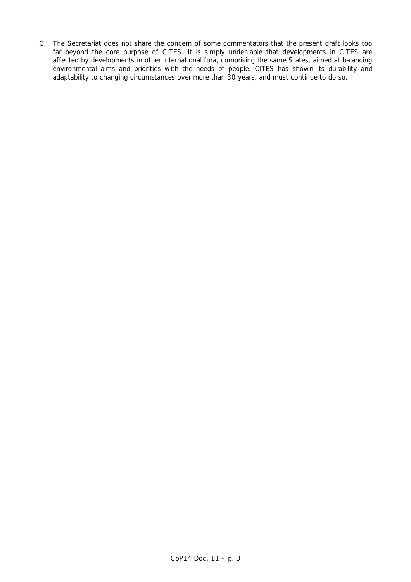C. The Secretariat does not share the concern of some commentators that the present draft looks too far beyond the core purpose of CITES. It is simply undeniable that developments in CITES are affected by developments in other international fora, comprising the same States, aimed at balancing environmental aims and priorities with the needs of people. CITES has shown its durability and adaptability to changing circumstances over more than 30 years, and must continue to do so.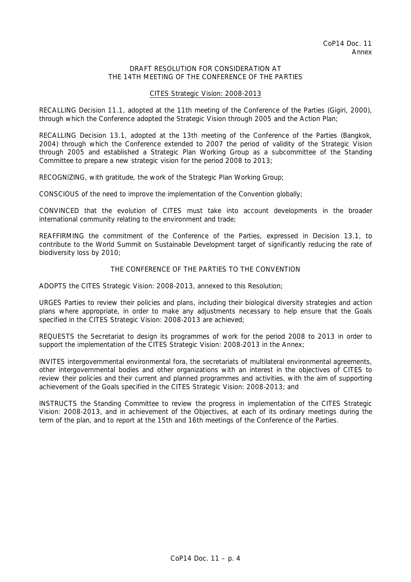### DRAFT RESOLUTION FOR CONSIDERATION AT THE 14TH MEETING OF THE CONFERENCE OF THE PARTIES

#### CITES Strategic Vision: 2008-2013

RECALLING Decision 11.1, adopted at the 11th meeting of the Conference of the Parties (Gigiri, 2000). through which the Conference adopted the *Strategic Vision through 2005* and the *Action Plan*;

RECALLING Decision 13.1, adopted at the 13th meeting of the Conference of the Parties (Bangkok, 2004) through which the Conference extended to 2007 the period of validity of the *Strategic Vision through 2005* and established a Strategic Plan Working Group as a subcommittee of the Standing Committee to prepare a new strategic vision for the period 2008 to 2013;

RECOGNIZING, with gratitude, the work of the Strategic Plan Working Group;

CONSCIOUS of the need to improve the implementation of the Convention globally;

CONVINCED that the evolution of CITES must take into account developments in the broader international community relating to the environment and trade;

REAFFIRMING the commitment of the Conference of the Parties, expressed in Decision 13.1, to contribute to the World Summit on Sustainable Development target of significantly reducing the rate of biodiversity loss by 2010;

## THE CONFERENCE OF THE PARTIES TO THE CONVENTION

ADOPTS the *CITES Strategic Vision: 2008-2013*, annexed to this Resolution;

URGES Parties to review their policies and plans, including their biological diversity strategies and action plans where appropriate, in order to make any adjustments necessary to help ensure that the Goals specified in the *CITES Strategic Vision: 2008-2013* are achieved;

REQUESTS the Secretariat to design its programmes of work for the period 2008 to 2013 in order to support the implementation of the *CITES Strategic Vision: 2008-2013* in the Annex;

INVITES intergovernmental environmental fora, the secretariats of multilateral environmental agreements, other intergovernmental bodies and other organizations with an interest in the objectives of CITES to review their policies and their current and planned programmes and activities, with the aim of supporting achievement of the Goals specified in the *CITES Strategic Vision: 2008-2013*; and

INSTRUCTS the Standing Committee to review the progress in implementation of the *CITES Strategic Vision: 2008-2013,* and in achievement of the Objectives, at each of its ordinary meetings during the term of the plan, and to report at the 15th and 16th meetings of the Conference of the Parties.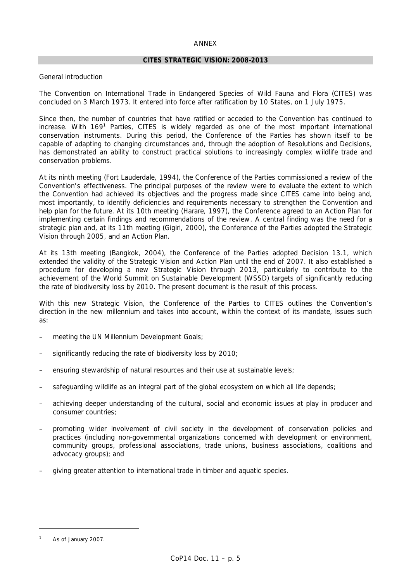#### ANNEX

### **CITES STRATEGIC VISION: 2008-2013**

### General introduction

The Convention on International Trade in Endangered Species of Wild Fauna and Flora (CITES) was concluded on 3 March 1973. It entered into force after ratification by 10 States, on 1 July 1975.

Since then, the number of countries that have ratified or acceded to the Convention has continued to increase. With 169<sup>1</sup> Parties, CITES is widely regarded as one of the most important international conservation instruments. During this period, the Conference of the Parties has shown itself to be capable of adapting to changing circumstances and, through the adoption of Resolutions and Decisions, has demonstrated an ability to construct practical solutions to increasingly complex wildlife trade and conservation problems.

At its ninth meeting (Fort Lauderdale, 1994), the Conference of the Parties commissioned a review of the Convention's effectiveness. The principal purposes of the review were to evaluate the extent to which the Convention had achieved its objectives and the progress made since CITES came into being and, most importantly, to identify deficiencies and requirements necessary to strengthen the Convention and help plan for the future. At its 10th meeting (Harare, 1997), the Conference agreed to an Action Plan for implementing certain findings and recommendations of the review. A central finding was the need for a strategic plan and, at its 11th meeting (Gigiri, 2000), the Conference of the Parties adopted the *Strategic Vision through 2005*, and an Action Plan.

At its 13th meeting (Bangkok, 2004), the Conference of the Parties adopted Decision 13.1, which extended the validity of the Strategic Vision and Action Plan until the end of 2007. It also established a procedure for developing a new Strategic Vision through 2013, particularly to contribute to the achievement of the World Summit on Sustainable Development (WSSD) targets of significantly reducing the rate of biodiversity loss by 2010. The present document is the result of this process.

With this new Strategic Vision, the Conference of the Parties to CITES outlines the Convention's direction in the new millennium and takes into account, within the context of its mandate, issues such as:

- meeting the UN Millennium Development Goals;
- significantly reducing the rate of biodiversity loss by 2010;
- ensuring stewardship of natural resources and their use at sustainable levels;
- safeguarding wildlife as an integral part of the global ecosystem on which all life depends;
- achieving deeper understanding of the cultural, social and economic issues at play in producer and consumer countries;
- promoting wider involvement of civil society in the development of conservation policies and practices (including non-governmental organizations concerned with development or environment, community groups, professional associations, trade unions, business associations, coalitions and advocacy groups); and
- giving greater attention to international trade in timber and aquatic species.

*<sup>1</sup> As of January 2007.*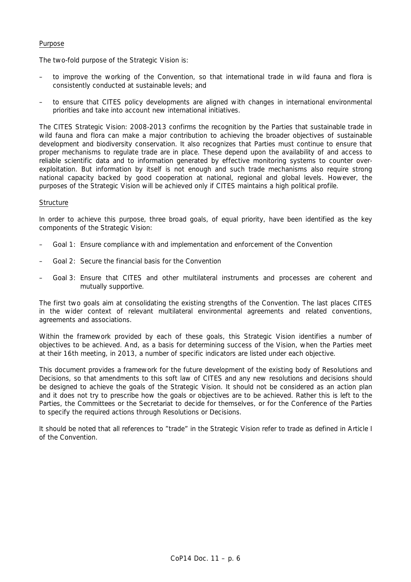## Purpose

The two-fold purpose of the Strategic Vision is:

- to improve the working of the Convention, so that international trade in wild fauna and flora is consistently conducted at sustainable levels; and
- to ensure that CITES policy developments are aligned with changes in international environmental priorities and take into account new international initiatives.

The *CITES Strategic Vision: 2008-2013* confirms the recognition by the Parties that sustainable trade in wild fauna and flora can make a major contribution to achieving the broader objectives of sustainable development and biodiversity conservation. It also recognizes that Parties must continue to ensure that proper mechanisms to regulate trade are in place. These depend upon the availability of and access to reliable scientific data and to information generated by effective monitoring systems to counter overexploitation. But information by itself is not enough and such trade mechanisms also require strong national capacity backed by good cooperation at national, regional and global levels. However, the purposes of the Strategic Vision will be achieved only if CITES maintains a high political profile.

### **Structure**

In order to achieve this purpose, three broad goals, of equal priority, have been identified as the key components of the Strategic Vision:

- Goal 1: Ensure compliance with and implementation and enforcement of the Convention
- Goal 2: Secure the financial basis for the Convention
- Goal 3: Ensure that CITES and other multilateral instruments and processes are coherent and mutually supportive.

The first two goals aim at consolidating the existing strengths of the Convention. The last places CITES in the wider context of relevant multilateral environmental agreements and related conventions, agreements and associations.

Within the framework provided by each of these goals, this Strategic Vision identifies a number of objectives to be achieved. And, as a basis for determining success of the Vision, when the Parties meet at their 16th meeting, in 2013, a number of specific indicators are listed under each objective.

This document provides a framework for the future development of the existing body of Resolutions and Decisions, so that amendments to this soft law of CITES and any new resolutions and decisions should be designed to achieve the goals of the Strategic Vision. It should not be considered as an action plan and it does not try to prescribe how the goals or objectives are to be achieved. Rather this is left to the Parties, the Committees or the Secretariat to decide for themselves, or for the Conference of the Parties to specify the required actions through Resolutions or Decisions.

It should be noted that all references to "trade" in the Strategic Vision refer to trade as defined in Article I of the Convention.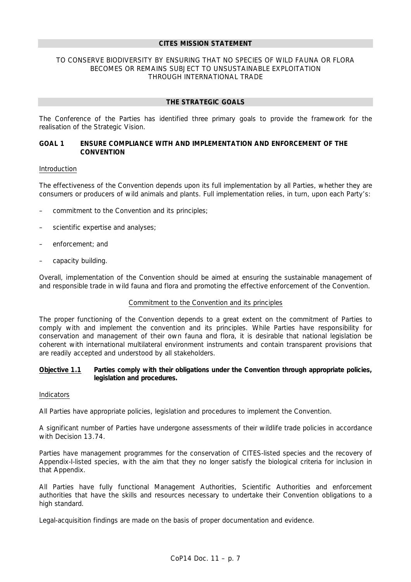#### **CITES MISSION STATEMENT**

## TO CONSERVE BIODIVERSITY BY ENSURING THAT NO SPECIES OF WILD FAUNA OR FLORA BECOMES OR REMAINS SUBJECT TO UNSUSTAINABLE EXPLOITATION THROUGH INTERNATIONAL TRADE

### **THE STRATEGIC GOALS**

The Conference of the Parties has identified three primary goals to provide the framework for the realisation of the Strategic Vision.

## *GOAL 1 ENSURE COMPLIANCE WITH AND IMPLEMENTATION AND ENFORCEMENT OF THE CONVENTION*

#### Introduction

The effectiveness of the Convention depends upon its full implementation by all Parties, whether they are consumers or producers of wild animals and plants. Full implementation relies, in turn, upon each Party's:

- commitment to the Convention and its principles;
- scientific expertise and analyses;
- enforcement; and
- capacity building.

Overall, implementation of the Convention should be aimed at ensuring the sustainable management of and responsible trade in wild fauna and flora and promoting the effective enforcement of the Convention.

#### Commitment to the Convention and its principles

The proper functioning of the Convention depends to a great extent on the commitment of Parties to comply with and implement the convention and its principles. While Parties have responsibility for conservation and management of their own fauna and flora, it is desirable that national legislation be coherent with international multilateral environment instruments and contain transparent provisions that are readily accepted and understood by all stakeholders.

### **Objective 1.1 Parties comply with their obligations under the Convention through appropriate policies, legislation and procedures.**

#### Indicators

All Parties have appropriate policies, legislation and procedures to implement the Convention.

A significant number of Parties have undergone assessments of their wildlife trade policies in accordance with Decision 13.74.

Parties have management programmes for the conservation of CITES-listed species and the recovery of Appendix-I-listed species, with the aim that they no longer satisfy the biological criteria for inclusion in that Appendix.

All Parties have fully functional Management Authorities, Scientific Authorities and enforcement authorities that have the skills and resources necessary to undertake their Convention obligations to a high standard.

Legal-acquisition findings are made on the basis of proper documentation and evidence.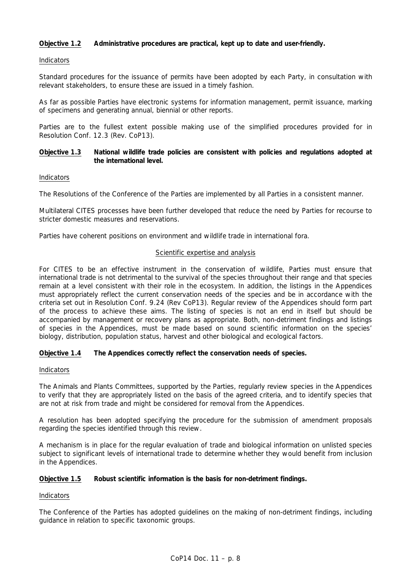## **Objective 1.2 Administrative procedures are practical, kept up to date and user-friendly.**

### Indicators

Standard procedures for the issuance of permits have been adopted by each Party, in consultation with relevant stakeholders, to ensure these are issued in a timely fashion.

As far as possible Parties have electronic systems for information management, permit issuance, marking of specimens and generating annual, biennial or other reports.

Parties are to the fullest extent possible making use of the simplified procedures provided for in Resolution Conf. 12.3 (Rev. CoP13).

## **Objective 1.3 National wildlife trade policies are consistent with policies and regulations adopted at the international level.**

### Indicators

The Resolutions of the Conference of the Parties are implemented by all Parties in a consistent manner.

Multilateral CITES processes have been further developed that reduce the need by Parties for recourse to stricter domestic measures and reservations.

Parties have coherent positions on environment and wildlife trade in international fora.

### Scientific expertise and analysis

For CITES to be an effective instrument in the conservation of wildlife, Parties must ensure that international trade is not detrimental to the survival of the species throughout their range and that species remain at a level consistent with their role in the ecosystem. In addition, the listings in the Appendices must appropriately reflect the current conservation needs of the species and be in accordance with the criteria set out in Resolution Conf. 9.24 (Rev CoP13). Regular review of the Appendices should form part of the process to achieve these aims. The listing of species is not an end in itself but should be accompanied by management or recovery plans as appropriate. Both, non-detriment findings and listings of species in the Appendices, must be made based on sound scientific information on the species' biology, distribution, population status, harvest and other biological and ecological factors.

## **Objective 1.4 The Appendices correctly reflect the conservation needs of species.**

#### Indicators

The Animals and Plants Committees, supported by the Parties, regularly review species in the Appendices to verify that they are appropriately listed on the basis of the agreed criteria, and to identify species that are not at risk from trade and might be considered for removal from the Appendices.

A resolution has been adopted specifying the procedure for the submission of amendment proposals regarding the species identified through this review.

A mechanism is in place for the regular evaluation of trade and biological information on unlisted species subject to significant levels of international trade to determine whether they would benefit from inclusion in the Appendices.

## **Objective 1.5 Robust scientific information is the basis for non-detriment findings.**

#### Indicators

The Conference of the Parties has adopted guidelines on the making of non-detriment findings, including guidance in relation to specific taxonomic groups.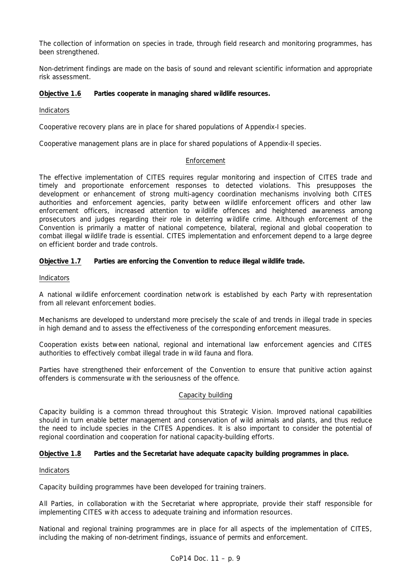The collection of information on species in trade, through field research and monitoring programmes, has been strengthened.

Non-detriment findings are made on the basis of sound and relevant scientific information and appropriate risk assessment.

## **Objective 1.6 Parties cooperate in managing shared wildlife resources.**

Indicators

Cooperative recovery plans are in place for shared populations of Appendix-I species.

Cooperative management plans are in place for shared populations of Appendix-II species.

## Enforcement

The effective implementation of CITES requires regular monitoring and inspection of CITES trade and timely and proportionate enforcement responses to detected violations. This presupposes the development or enhancement of strong multi-agency coordination mechanisms involving both CITES authorities and enforcement agencies, parity between wildlife enforcement officers and other law enforcement officers, increased attention to wildlife offences and heightened awareness among prosecutors and judges regarding their role in deterring wildlife crime. Although enforcement of the Convention is primarily a matter of national competence, bilateral, regional and global cooperation to combat illegal wildlife trade is essential. CITES implementation and enforcement depend to a large degree on efficient border and trade controls.

### **Objective 1.7 Parties are enforcing the Convention to reduce illegal wildlife trade.**

#### Indicators

A national wildlife enforcement coordination network is established by each Party with representation from all relevant enforcement bodies.

Mechanisms are developed to understand more precisely the scale of and trends in illegal trade in species in high demand and to assess the effectiveness of the corresponding enforcement measures.

Cooperation exists between national, regional and international law enforcement agencies and CITES authorities to effectively combat illegal trade in wild fauna and flora.

Parties have strengthened their enforcement of the Convention to ensure that punitive action against offenders is commensurate with the seriousness of the offence.

#### Capacity building

Capacity building is a common thread throughout this Strategic Vision. Improved national capabilities should in turn enable better management and conservation of wild animals and plants, and thus reduce the need to include species in the CITES Appendices. It is also important to consider the potential of regional coordination and cooperation for national capacity-building efforts.

## **Objective 1.8 Parties and the Secretariat have adequate capacity building programmes in place.**

#### Indicators

Capacity building programmes have been developed for training trainers.

All Parties, in collaboration with the Secretariat where appropriate, provide their staff responsible for implementing CITES with access to adequate training and information resources.

National and regional training programmes are in place for all aspects of the implementation of CITES, including the making of non-detriment findings, issuance of permits and enforcement.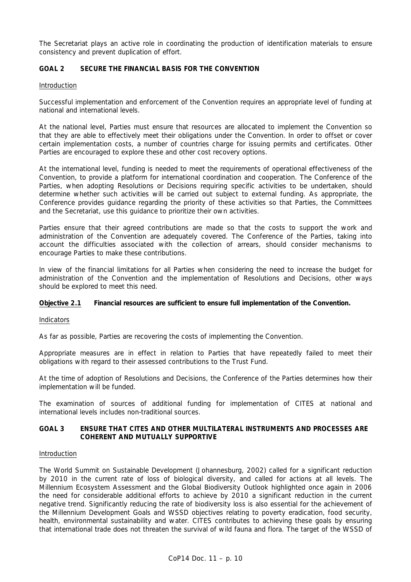The Secretariat plays an active role in coordinating the production of identification materials to ensure consistency and prevent duplication of effort.

# *GOAL 2 SECURE THE FINANCIAL BASIS FOR THE CONVENTION*

### Introduction

Successful implementation and enforcement of the Convention requires an appropriate level of funding at national and international levels.

At the national level, Parties must ensure that resources are allocated to implement the Convention so that they are able to effectively meet their obligations under the Convention. In order to offset or cover certain implementation costs, a number of countries charge for issuing permits and certificates. Other Parties are encouraged to explore these and other cost recovery options.

At the international level, funding is needed to meet the requirements of operational effectiveness of the Convention, to provide a platform for international coordination and cooperation. The Conference of the Parties, when adopting Resolutions or Decisions requiring specific activities to be undertaken, should determine whether such activities will be carried out subject to external funding. As appropriate, the Conference provides guidance regarding the priority of these activities so that Parties, the Committees and the Secretariat, use this guidance to prioritize their own activities.

Parties ensure that their agreed contributions are made so that the costs to support the work and administration of the Convention are adequately covered. The Conference of the Parties, taking into account the difficulties associated with the collection of arrears, should consider mechanisms to encourage Parties to make these contributions.

In view of the financial limitations for all Parties when considering the need to increase the budget for administration of the Convention and the implementation of Resolutions and Decisions, other ways should be explored to meet this need.

## **Objective 2.1 Financial resources are sufficient to ensure full implementation of the Convention.**

Indicators

As far as possible, Parties are recovering the costs of implementing the Convention.

Appropriate measures are in effect in relation to Parties that have repeatedly failed to meet their obligations with regard to their assessed contributions to the Trust Fund.

At the time of adoption of Resolutions and Decisions, the Conference of the Parties determines how their implementation will be funded.

The examination of sources of additional funding for implementation of CITES at national and international levels includes non-traditional sources.

## *GOAL 3 ENSURE THAT CITES AND OTHER MULTILATERAL INSTRUMENTS AND PROCESSES ARE COHERENT AND MUTUALLY SUPPORTIVE*

## Introduction

The World Summit on Sustainable Development (Johannesburg, 2002) called for a significant reduction by 2010 in the current rate of loss of biological diversity, and called for actions at all levels. The Millennium Ecosystem Assessment and the Global Biodiversity Outlook highlighted once again in 2006 the need for considerable additional efforts to achieve by 2010 a significant reduction in the current negative trend. Significantly reducing the rate of biodiversity loss is also essential for the achievement of the Millennium Development Goals and WSSD objectives relating to poverty eradication, food security, health, environmental sustainability and water. CITES contributes to achieving these goals by ensuring that international trade does not threaten the survival of wild fauna and flora. The target of the WSSD of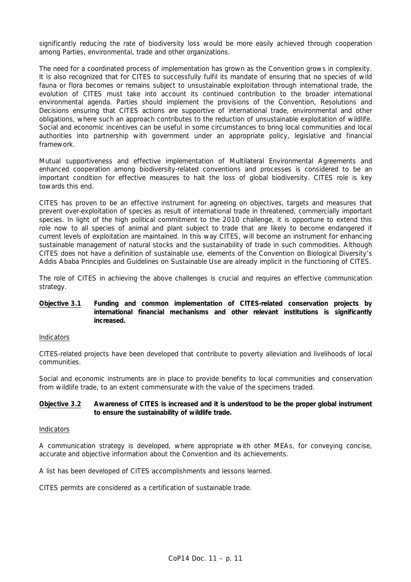significantly reducing the rate of biodiversity loss would be more easily achieved through cooperation among Parties, environmental, trade and other organizations.

The need for a coordinated process of implementation has grown as the Convention grows in complexity. It is also recognized that for CITES to successfully fulfil its mandate of ensuring that no species of wild fauna or flora becomes or remains subject to unsustainable exploitation through international trade, the evolution of CITES must take into account its continued contribution to the broader international environmental agenda. Parties should implement the provisions of the Convention, Resolutions and Decisions ensuring that CITES actions are supportive of international trade, environmental and other obligations, where such an approach contributes to the reduction of unsustainable exploitation of wildlife. Social and economic incentives can be useful in some circumstances to bring local communities and local authorities into partnership with government under an appropriate policy, legislative and financial framework.

Mutual supportiveness and effective implementation of Multilateral Environmental Agreements and enhanced cooperation among biodiversity-related conventions and processes is considered to be an important condition for effective measures to halt the loss of global biodiversity. CITES role is key towards this end.

CITES has proven to be an effective instrument for agreeing on objectives, targets and measures that prevent over-exploitation of species as result of international trade in threatened, commercially important species. In light of the high political commitment to the 2010 challenge, it is opportune to extend this role now to all species of animal and plant subject to trade that are likely to become endangered if current levels of exploitation are maintained. In this way CITES, will become an instrument for enhancing sustainable management of natural stocks and the sustainability of trade in such commodities. Although CITES does not have a definition of sustainable use, elements of the Convention on Biological Diversity's Addis Ababa Principles and Guidelines on Sustainable Use are already implicit in the functioning of CITES.

The role of CITES in achieving the above challenges is crucial and requires an effective communication strategy.

## **Objective 3.1 Funding and common implementation of CITES-related conservation projects by international financial mechanisms and other relevant institutions is significantly increased.**

#### Indicators

CITES-related projects have been developed that contribute to poverty alleviation and livelihoods of local communities.

Social and economic instruments are in place to provide benefits to local communities and conservation from wildlife trade, to an extent commensurate with the value of the specimens traded.

### **Objective 3.2 Awareness of CITES is increased and it is understood to be the proper global instrument to ensure the sustainability of wildlife trade.**

#### Indicators

A communication strategy is developed, where appropriate with other MEAs, for conveying concise, accurate and objective information about the Convention and its achievements.

A list has been developed of CITES accomplishments and lessons learned.

CITES permits are considered as a certification of sustainable trade.